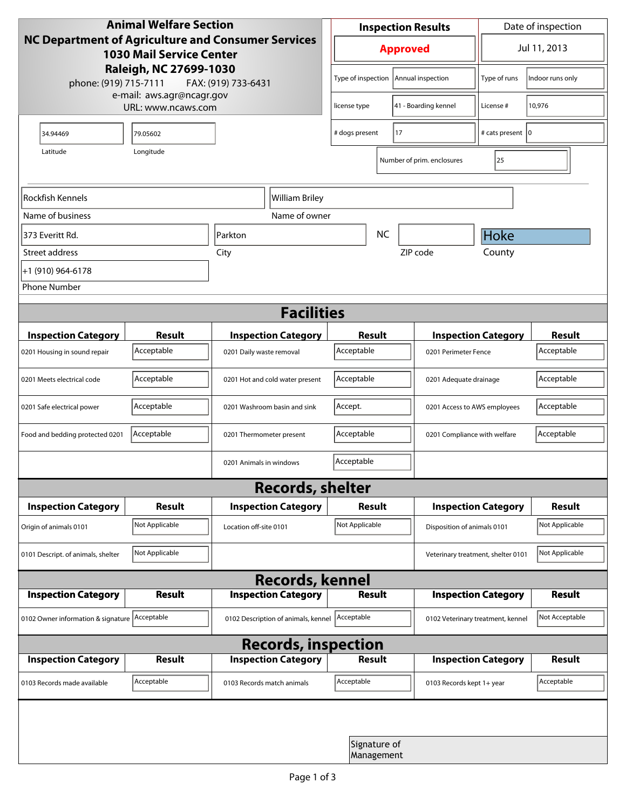| <b>Animal Welfare Section</b><br><b>NC Department of Agriculture and Consumer Services</b><br><b>1030 Mail Service Center</b><br>Raleigh, NC 27699-1030<br>phone: (919) 715-7111<br>FAX: (919) 733-6431 |                                                 |                                     | <b>Inspection Results</b>                  |                            |                                    | Date of inspection         |                |
|---------------------------------------------------------------------------------------------------------------------------------------------------------------------------------------------------------|-------------------------------------------------|-------------------------------------|--------------------------------------------|----------------------------|------------------------------------|----------------------------|----------------|
|                                                                                                                                                                                                         |                                                 |                                     | <b>Approved</b>                            |                            |                                    | Jul 11, 2013               |                |
|                                                                                                                                                                                                         |                                                 |                                     | Type of inspection<br>Annual inspection    |                            | Type of runs                       | Indoor runs only           |                |
|                                                                                                                                                                                                         | e-mail: aws.agr@ncagr.gov<br>URL: www.ncaws.com |                                     | license type                               |                            | 41 - Boarding kennel               | License #                  | 10,976         |
| 34.94469                                                                                                                                                                                                | 79.05602                                        |                                     | 17<br># dogs present                       |                            |                                    | # cats present  0          |                |
| Latitude                                                                                                                                                                                                |                                                 |                                     |                                            | Number of prim. enclosures | 25                                 |                            |                |
| Rockfish Kennels                                                                                                                                                                                        |                                                 | William Briley                      |                                            |                            |                                    |                            |                |
| Name of business                                                                                                                                                                                        |                                                 | Name of owner                       |                                            |                            |                                    |                            |                |
| 373 Everitt Rd.                                                                                                                                                                                         |                                                 | Parkton                             |                                            | <b>NC</b>                  |                                    | Hoke                       |                |
| Street address                                                                                                                                                                                          |                                                 | City                                |                                            |                            | ZIP code                           | County                     |                |
| +1 (910) 964-6178                                                                                                                                                                                       |                                                 |                                     |                                            |                            |                                    |                            |                |
| <b>Phone Number</b>                                                                                                                                                                                     |                                                 |                                     |                                            |                            |                                    |                            |                |
| <b>Facilities</b>                                                                                                                                                                                       |                                                 |                                     |                                            |                            |                                    |                            |                |
| <b>Inspection Category</b>                                                                                                                                                                              | <b>Result</b>                                   | <b>Inspection Category</b>          | Result                                     |                            |                                    | <b>Inspection Category</b> | Result         |
| 0201 Housing in sound repair                                                                                                                                                                            | Acceptable                                      | 0201 Daily waste removal            | Acceptable                                 |                            | 0201 Perimeter Fence               |                            | Acceptable     |
| 0201 Meets electrical code                                                                                                                                                                              | Acceptable                                      | 0201 Hot and cold water present     | Acceptable<br>0201 Adequate drainage       |                            |                                    | Acceptable                 |                |
| 0201 Safe electrical power                                                                                                                                                                              | Acceptable                                      | 0201 Washroom basin and sink        | Accept.<br>0201 Access to AWS employees    |                            |                                    | Acceptable                 |                |
| Food and bedding protected 0201                                                                                                                                                                         | Acceptable                                      | 0201 Thermometer present            | Acceptable<br>0201 Compliance with welfare |                            |                                    | Acceptable                 |                |
|                                                                                                                                                                                                         |                                                 | 0201 Animals in windows             | Acceptable                                 |                            |                                    |                            |                |
| <b>Records, shelter</b>                                                                                                                                                                                 |                                                 |                                     |                                            |                            |                                    |                            |                |
| <b>Inspection Category</b>                                                                                                                                                                              | <b>Result</b>                                   | <b>Inspection Category</b>          | Result                                     |                            |                                    | <b>Inspection Category</b> | Result         |
| Origin of animals 0101                                                                                                                                                                                  | Not Applicable                                  | Location off-site 0101              | Not Applicable                             |                            | Disposition of animals 0101        |                            | Not Applicable |
| 0101 Descript. of animals, shelter                                                                                                                                                                      | Not Applicable                                  |                                     |                                            |                            | Veterinary treatment, shelter 0101 |                            | Not Applicable |
| <b>Records, kennel</b>                                                                                                                                                                                  |                                                 |                                     |                                            |                            |                                    |                            |                |
| <b>Inspection Category</b>                                                                                                                                                                              | <b>Result</b>                                   | <b>Inspection Category</b>          | <b>Result</b>                              |                            |                                    | <b>Inspection Category</b> | Result         |
| 0102 Owner information & signature Acceptable                                                                                                                                                           |                                                 | 0102 Description of animals, kennel | Acceptable                                 |                            | 0102 Veterinary treatment, kennel  |                            | Not Acceptable |
| <b>Records, inspection</b>                                                                                                                                                                              |                                                 |                                     |                                            |                            |                                    |                            |                |
| <b>Inspection Category</b>                                                                                                                                                                              | Result                                          | <b>Inspection Category</b>          | Result                                     |                            |                                    | <b>Inspection Category</b> | Result         |
| 0103 Records made available                                                                                                                                                                             | Acceptable                                      | 0103 Records match animals          | Acceptable                                 |                            | 0103 Records kept 1+ year          |                            | Acceptable     |
|                                                                                                                                                                                                         |                                                 |                                     |                                            |                            |                                    |                            |                |
|                                                                                                                                                                                                         |                                                 |                                     | Signature of<br>Management                 |                            |                                    |                            |                |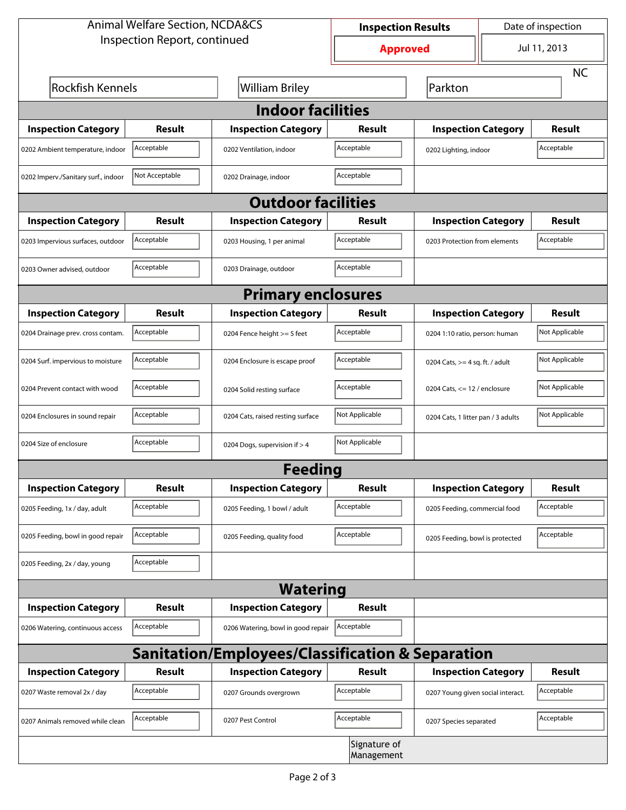| <b>Animal Welfare Section, NCDA&amp;CS</b>                  |                |                                    | <b>Inspection Results</b>  |                                     | Date of inspection |                |  |
|-------------------------------------------------------------|----------------|------------------------------------|----------------------------|-------------------------------------|--------------------|----------------|--|
| Inspection Report, continued                                |                |                                    | <b>Approved</b>            |                                     |                    | Jul 11, 2013   |  |
|                                                             |                |                                    |                            |                                     |                    | <b>NC</b>      |  |
| <b>Rockfish Kennels</b>                                     |                | <b>William Briley</b>              |                            | Parkton                             |                    |                |  |
| <b>Indoor facilities</b>                                    |                |                                    |                            |                                     |                    |                |  |
| <b>Inspection Category</b>                                  | Result         | <b>Inspection Category</b>         | Result                     | <b>Inspection Category</b>          |                    | Result         |  |
| 0202 Ambient temperature, indoor                            | Acceptable     | 0202 Ventilation, indoor           | Acceptable                 | Acceptable<br>0202 Lighting, indoor |                    |                |  |
| 0202 Imperv./Sanitary surf., indoor                         | Not Acceptable | 0202 Drainage, indoor              | Acceptable                 |                                     |                    |                |  |
|                                                             |                | <b>Outdoor facilities</b>          |                            |                                     |                    |                |  |
| <b>Inspection Category</b>                                  | Result         | <b>Inspection Category</b>         | <b>Result</b>              | <b>Inspection Category</b>          |                    | <b>Result</b>  |  |
| 0203 Impervious surfaces, outdoor                           | Acceptable     | 0203 Housing, 1 per animal         | Acceptable                 | 0203 Protection from elements       |                    | Acceptable     |  |
| 0203 Owner advised, outdoor                                 | Acceptable     | 0203 Drainage, outdoor             | Acceptable                 |                                     |                    |                |  |
|                                                             |                | <b>Primary enclosures</b>          |                            |                                     |                    |                |  |
| <b>Inspection Category</b>                                  | Result         | <b>Inspection Category</b>         | Result                     | <b>Inspection Category</b>          |                    | <b>Result</b>  |  |
| 0204 Drainage prev. cross contam.                           | Acceptable     | 0204 Fence height >= 5 feet        | Acceptable                 | 0204 1:10 ratio, person: human      |                    | Not Applicable |  |
| 0204 Surf. impervious to moisture                           | Acceptable     | 0204 Enclosure is escape proof     | Acceptable                 | 0204 Cats, $>=$ 4 sq. ft. / adult   |                    | Not Applicable |  |
| 0204 Prevent contact with wood                              | Acceptable     | 0204 Solid resting surface         | Acceptable                 | 0204 Cats, $<= 12$ / enclosure      |                    | Not Applicable |  |
| 0204 Enclosures in sound repair                             | Acceptable     | 0204 Cats, raised resting surface  | Not Applicable             | 0204 Cats, 1 litter pan / 3 adults  |                    | Not Applicable |  |
| 0204 Size of enclosure                                      | Acceptable     | 0204 Dogs, supervision if > 4      | Not Applicable             |                                     |                    |                |  |
| <b>Feeding</b>                                              |                |                                    |                            |                                     |                    |                |  |
| <b>Inspection Category</b>                                  | <b>Result</b>  | <b>Inspection Category</b>         | <b>Result</b>              | <b>Inspection Category</b>          |                    | <b>Result</b>  |  |
| 0205 Feeding, 1x / day, adult                               | Acceptable     | 0205 Feeding, 1 bowl / adult       | Acceptable                 | 0205 Feeding, commercial food       |                    | Acceptable     |  |
| 0205 Feeding, bowl in good repair                           | Acceptable     | 0205 Feeding, quality food         | Acceptable                 | 0205 Feeding, bowl is protected     |                    | Acceptable     |  |
| 0205 Feeding, 2x / day, young                               | Acceptable     |                                    |                            |                                     |                    |                |  |
|                                                             |                | <b>Watering</b>                    |                            |                                     |                    |                |  |
| <b>Inspection Category</b>                                  | <b>Result</b>  | <b>Inspection Category</b>         | <b>Result</b>              |                                     |                    |                |  |
| 0206 Watering, continuous access                            | Acceptable     | 0206 Watering, bowl in good repair | Acceptable                 |                                     |                    |                |  |
| <b>Sanitation/Employees/Classification &amp; Separation</b> |                |                                    |                            |                                     |                    |                |  |
| <b>Inspection Category</b>                                  | <b>Result</b>  | <b>Inspection Category</b>         | Result                     | <b>Inspection Category</b>          |                    | <b>Result</b>  |  |
| 0207 Waste removal 2x / day                                 | Acceptable     | 0207 Grounds overgrown             | Acceptable                 | 0207 Young given social interact.   |                    | Acceptable     |  |
| 0207 Animals removed while clean                            | Acceptable     | 0207 Pest Control                  | Acceptable                 | 0207 Species separated              |                    | Acceptable     |  |
|                                                             |                |                                    | Signature of<br>Management |                                     |                    |                |  |